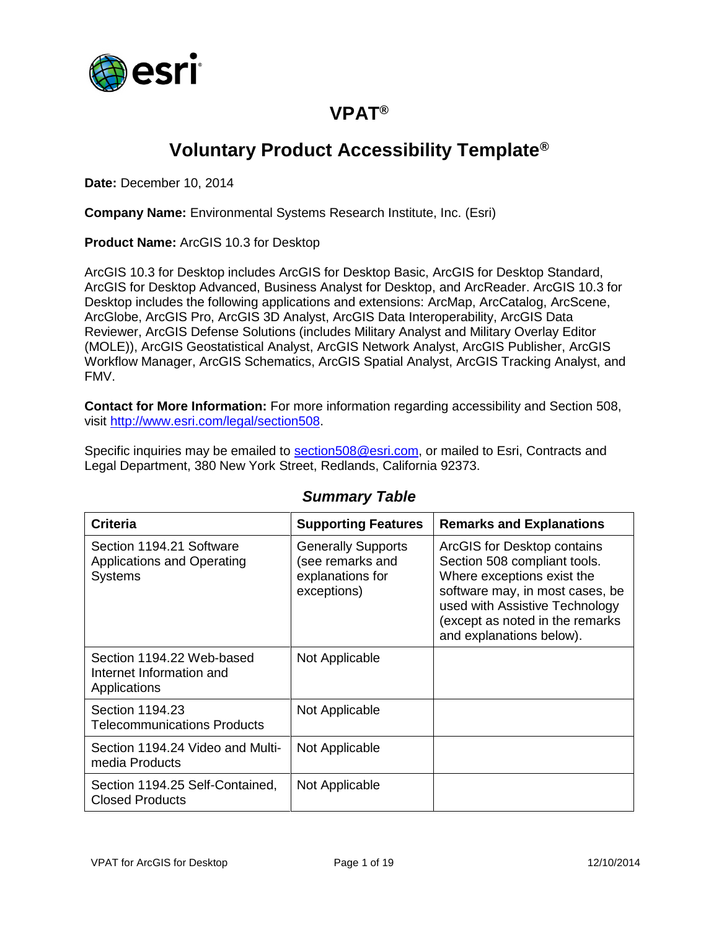

### **VPAT®**

# **Voluntary Product Accessibility Template®**

**Date:** December 10, 2014

**Company Name:** Environmental Systems Research Institute, Inc. (Esri)

**Product Name:** ArcGIS 10.3 for Desktop

ArcGIS 10.3 for Desktop includes ArcGIS for Desktop Basic, ArcGIS for Desktop Standard, ArcGIS for Desktop Advanced, Business Analyst for Desktop, and ArcReader. ArcGIS 10.3 for Desktop includes the following applications and extensions: ArcMap, ArcCatalog, ArcScene, ArcGlobe, ArcGIS Pro, ArcGIS 3D Analyst, ArcGIS Data Interoperability, ArcGIS Data Reviewer, ArcGIS Defense Solutions (includes Military Analyst and Military Overlay Editor (MOLE)), ArcGIS Geostatistical Analyst, ArcGIS Network Analyst, ArcGIS Publisher, ArcGIS Workflow Manager, ArcGIS Schematics, ArcGIS Spatial Analyst, ArcGIS Tracking Analyst, and FMV.

**Contact for More Information:** For more information regarding accessibility and Section 508, visit [http://www.esri.com/legal/section508.](http://www.esri.com/legal/section508)

Specific inquiries may be emailed to [section508@esri.com,](mailto:section508@esri.com) or mailed to Esri, Contracts and Legal Department, 380 New York Street, Redlands, California 92373.

| Criteria                                                                        | <b>Supporting Features</b>                                                       | <b>Remarks and Explanations</b>                                                                                                                                                                                               |
|---------------------------------------------------------------------------------|----------------------------------------------------------------------------------|-------------------------------------------------------------------------------------------------------------------------------------------------------------------------------------------------------------------------------|
| Section 1194.21 Software<br><b>Applications and Operating</b><br><b>Systems</b> | <b>Generally Supports</b><br>(see remarks and<br>explanations for<br>exceptions) | ArcGIS for Desktop contains<br>Section 508 compliant tools.<br>Where exceptions exist the<br>software may, in most cases, be<br>used with Assistive Technology<br>(except as noted in the remarks<br>and explanations below). |
| Section 1194.22 Web-based<br>Internet Information and<br>Applications           | Not Applicable                                                                   |                                                                                                                                                                                                                               |
| Section 1194.23<br><b>Telecommunications Products</b>                           | Not Applicable                                                                   |                                                                                                                                                                                                                               |
| Section 1194.24 Video and Multi-<br>media Products                              | Not Applicable                                                                   |                                                                                                                                                                                                                               |
| Section 1194.25 Self-Contained,<br><b>Closed Products</b>                       | Not Applicable                                                                   |                                                                                                                                                                                                                               |

#### *Summary Table*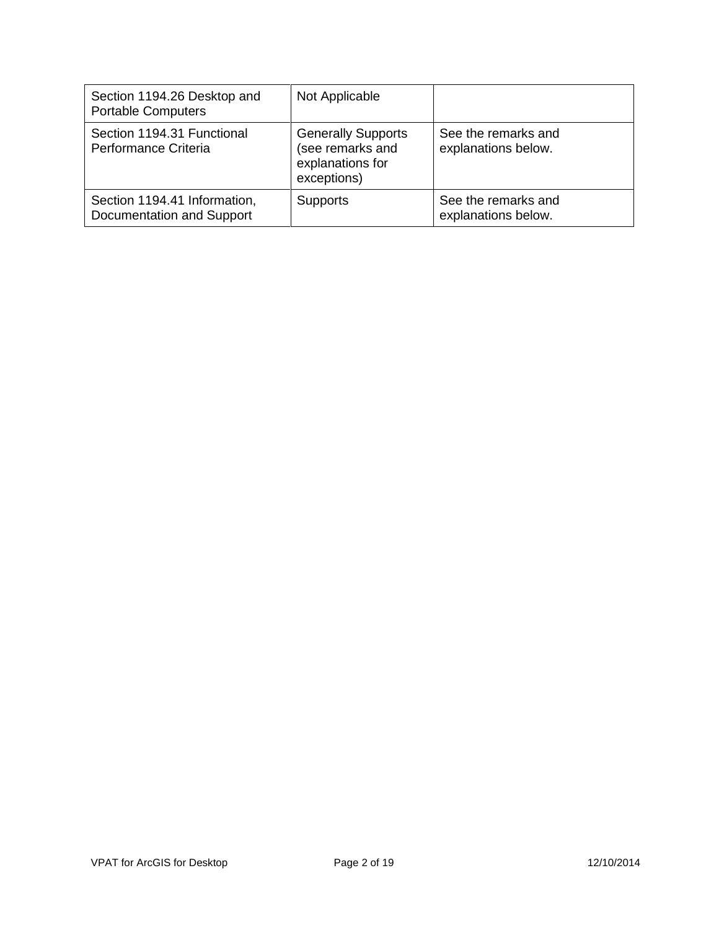| Section 1194.26 Desktop and<br><b>Portable Computers</b>  | Not Applicable                                                                   |                                            |
|-----------------------------------------------------------|----------------------------------------------------------------------------------|--------------------------------------------|
| Section 1194.31 Functional<br>Performance Criteria        | <b>Generally Supports</b><br>(see remarks and<br>explanations for<br>exceptions) | See the remarks and<br>explanations below. |
| Section 1194.41 Information,<br>Documentation and Support | <b>Supports</b>                                                                  | See the remarks and<br>explanations below. |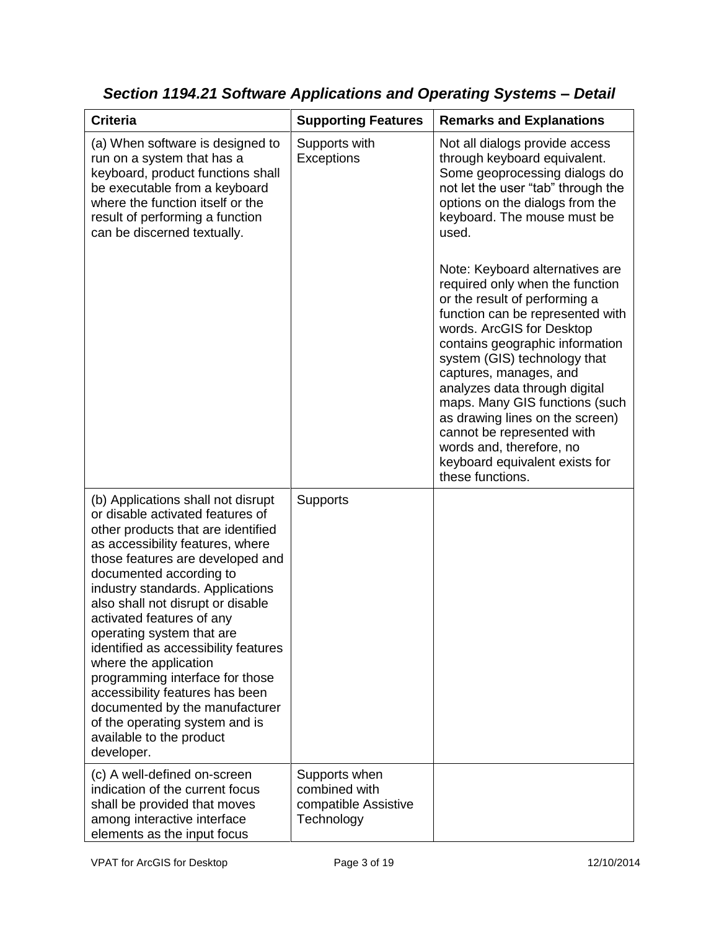| <b>Criteria</b>                                                                                                                                                                                                                                                                                                                                                                                                                                                                                                                                                                                         | <b>Supporting Features</b>                                           | <b>Remarks and Explanations</b>                                                                                                                                                                                                                                                                                                                                                                                                                                                         |
|---------------------------------------------------------------------------------------------------------------------------------------------------------------------------------------------------------------------------------------------------------------------------------------------------------------------------------------------------------------------------------------------------------------------------------------------------------------------------------------------------------------------------------------------------------------------------------------------------------|----------------------------------------------------------------------|-----------------------------------------------------------------------------------------------------------------------------------------------------------------------------------------------------------------------------------------------------------------------------------------------------------------------------------------------------------------------------------------------------------------------------------------------------------------------------------------|
| (a) When software is designed to<br>run on a system that has a<br>keyboard, product functions shall<br>be executable from a keyboard<br>where the function itself or the<br>result of performing a function<br>can be discerned textually.                                                                                                                                                                                                                                                                                                                                                              | Supports with<br>Exceptions                                          | Not all dialogs provide access<br>through keyboard equivalent.<br>Some geoprocessing dialogs do<br>not let the user "tab" through the<br>options on the dialogs from the<br>keyboard. The mouse must be<br>used.                                                                                                                                                                                                                                                                        |
|                                                                                                                                                                                                                                                                                                                                                                                                                                                                                                                                                                                                         |                                                                      | Note: Keyboard alternatives are<br>required only when the function<br>or the result of performing a<br>function can be represented with<br>words. ArcGIS for Desktop<br>contains geographic information<br>system (GIS) technology that<br>captures, manages, and<br>analyzes data through digital<br>maps. Many GIS functions (such<br>as drawing lines on the screen)<br>cannot be represented with<br>words and, therefore, no<br>keyboard equivalent exists for<br>these functions. |
| (b) Applications shall not disrupt<br>or disable activated features of<br>other products that are identified<br>as accessibility features, where<br>those features are developed and<br>documented according to<br>industry standards. Applications<br>also shall not disrupt or disable<br>activated features of any<br>operating system that are<br>identified as accessibility features<br>where the application<br>programming interface for those<br>accessibility features has been<br>documented by the manufacturer<br>of the operating system and is<br>available to the product<br>developer. | <b>Supports</b>                                                      |                                                                                                                                                                                                                                                                                                                                                                                                                                                                                         |
| (c) A well-defined on-screen<br>indication of the current focus<br>shall be provided that moves<br>among interactive interface<br>elements as the input focus                                                                                                                                                                                                                                                                                                                                                                                                                                           | Supports when<br>combined with<br>compatible Assistive<br>Technology |                                                                                                                                                                                                                                                                                                                                                                                                                                                                                         |

*Section 1194.21 Software Applications and Operating Systems – Detail*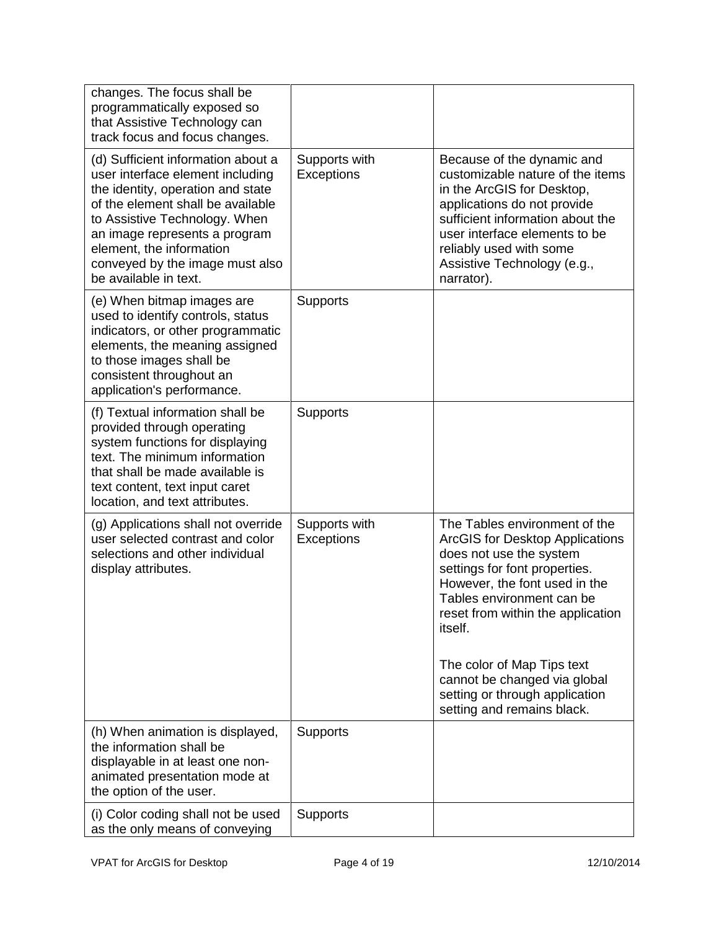| changes. The focus shall be<br>programmatically exposed so<br>that Assistive Technology can<br>track focus and focus changes.                                                                                                                                                                              |                             |                                                                                                                                                                                                                                                                                                                                                                                        |
|------------------------------------------------------------------------------------------------------------------------------------------------------------------------------------------------------------------------------------------------------------------------------------------------------------|-----------------------------|----------------------------------------------------------------------------------------------------------------------------------------------------------------------------------------------------------------------------------------------------------------------------------------------------------------------------------------------------------------------------------------|
| (d) Sufficient information about a<br>user interface element including<br>the identity, operation and state<br>of the element shall be available<br>to Assistive Technology. When<br>an image represents a program<br>element, the information<br>conveyed by the image must also<br>be available in text. | Supports with<br>Exceptions | Because of the dynamic and<br>customizable nature of the items<br>in the ArcGIS for Desktop,<br>applications do not provide<br>sufficient information about the<br>user interface elements to be<br>reliably used with some<br>Assistive Technology (e.g.,<br>narrator).                                                                                                               |
| (e) When bitmap images are<br>used to identify controls, status<br>indicators, or other programmatic<br>elements, the meaning assigned<br>to those images shall be<br>consistent throughout an<br>application's performance.                                                                               | <b>Supports</b>             |                                                                                                                                                                                                                                                                                                                                                                                        |
| (f) Textual information shall be<br>provided through operating<br>system functions for displaying<br>text. The minimum information<br>that shall be made available is<br>text content, text input caret<br>location, and text attributes.                                                                  | <b>Supports</b>             |                                                                                                                                                                                                                                                                                                                                                                                        |
| (g) Applications shall not override<br>user selected contrast and color<br>selections and other individual<br>display attributes.                                                                                                                                                                          | Supports with<br>Exceptions | The Tables environment of the<br><b>ArcGIS for Desktop Applications</b><br>does not use the system<br>settings for font properties.<br>However, the font used in the<br>Tables environment can be<br>reset from within the application<br><i>itself.</i><br>The color of Map Tips text<br>cannot be changed via global<br>setting or through application<br>setting and remains black. |
| (h) When animation is displayed,<br>the information shall be<br>displayable in at least one non-<br>animated presentation mode at<br>the option of the user.                                                                                                                                               | <b>Supports</b>             |                                                                                                                                                                                                                                                                                                                                                                                        |
| (i) Color coding shall not be used<br>as the only means of conveying                                                                                                                                                                                                                                       | <b>Supports</b>             |                                                                                                                                                                                                                                                                                                                                                                                        |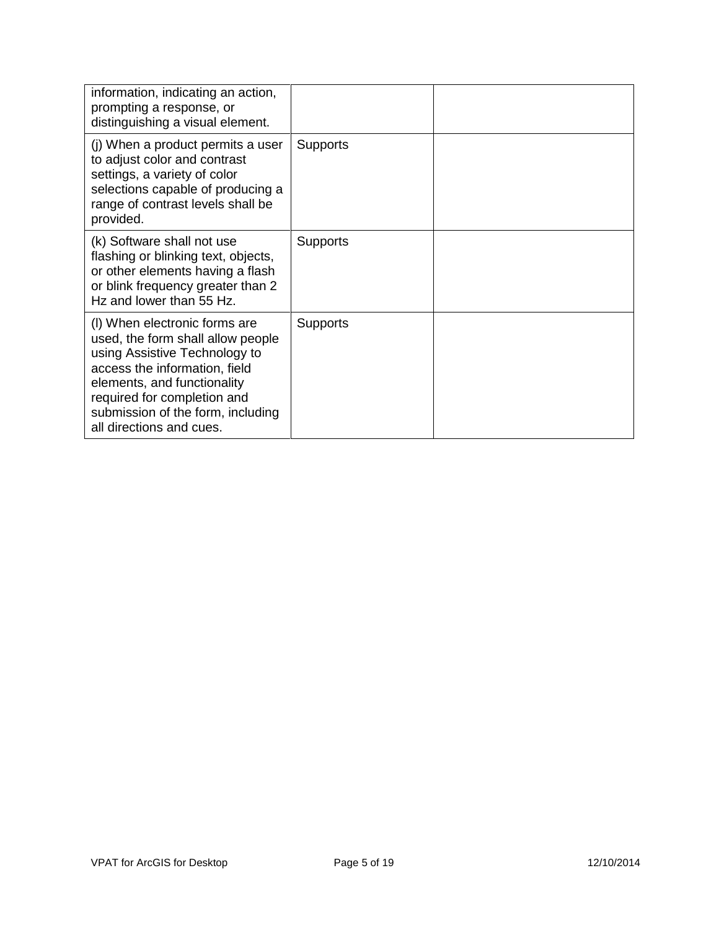| information, indicating an action,<br>prompting a response, or<br>distinguishing a visual element.                                                                                                                                                                  |                 |  |
|---------------------------------------------------------------------------------------------------------------------------------------------------------------------------------------------------------------------------------------------------------------------|-----------------|--|
| (j) When a product permits a user<br>to adjust color and contrast<br>settings, a variety of color<br>selections capable of producing a<br>range of contrast levels shall be<br>provided.                                                                            | <b>Supports</b> |  |
| (k) Software shall not use<br>flashing or blinking text, objects,<br>or other elements having a flash<br>or blink frequency greater than 2<br>Hz and lower than 55 Hz.                                                                                              | <b>Supports</b> |  |
| (I) When electronic forms are<br>used, the form shall allow people<br>using Assistive Technology to<br>access the information, field<br>elements, and functionality<br>required for completion and<br>submission of the form, including<br>all directions and cues. | <b>Supports</b> |  |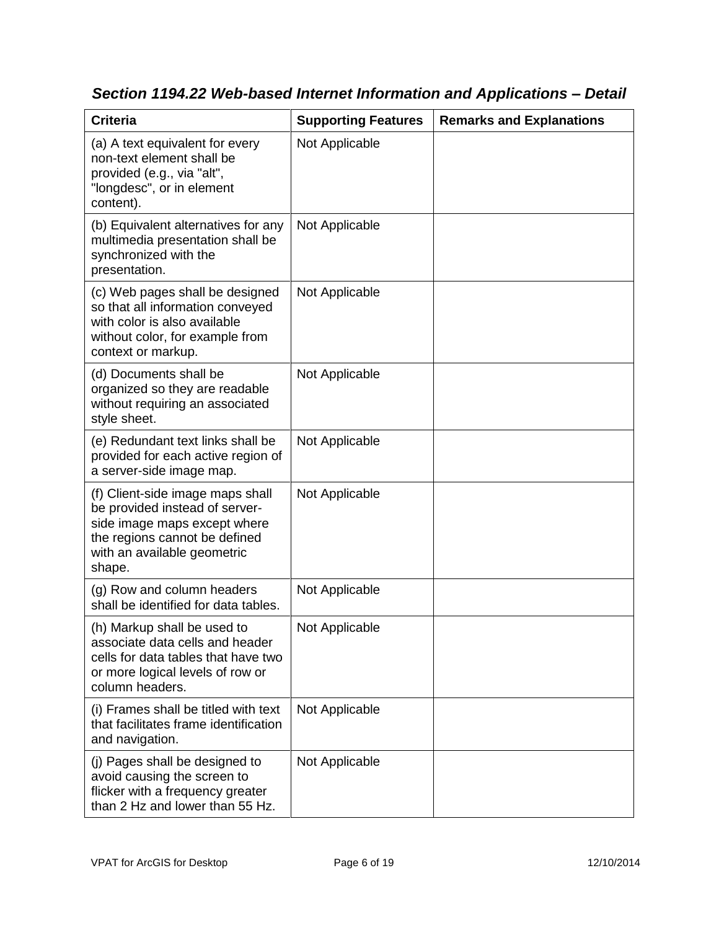| <b>Criteria</b>                                                                                                                                                              | <b>Supporting Features</b> | <b>Remarks and Explanations</b> |
|------------------------------------------------------------------------------------------------------------------------------------------------------------------------------|----------------------------|---------------------------------|
| (a) A text equivalent for every<br>non-text element shall be<br>provided (e.g., via "alt",<br>"longdesc", or in element<br>content).                                         | Not Applicable             |                                 |
| (b) Equivalent alternatives for any<br>multimedia presentation shall be<br>synchronized with the<br>presentation.                                                            | Not Applicable             |                                 |
| (c) Web pages shall be designed<br>so that all information conveyed<br>with color is also available<br>without color, for example from<br>context or markup.                 | Not Applicable             |                                 |
| (d) Documents shall be<br>organized so they are readable<br>without requiring an associated<br>style sheet.                                                                  | Not Applicable             |                                 |
| (e) Redundant text links shall be<br>provided for each active region of<br>a server-side image map.                                                                          | Not Applicable             |                                 |
| (f) Client-side image maps shall<br>be provided instead of server-<br>side image maps except where<br>the regions cannot be defined<br>with an available geometric<br>shape. | Not Applicable             |                                 |
| (g) Row and column headers<br>shall be identified for data tables.                                                                                                           | Not Applicable             |                                 |
| (h) Markup shall be used to<br>associate data cells and header<br>cells for data tables that have two<br>or more logical levels of row or<br>column headers.                 | Not Applicable             |                                 |
| (i) Frames shall be titled with text<br>that facilitates frame identification<br>and navigation.                                                                             | Not Applicable             |                                 |
| (j) Pages shall be designed to<br>avoid causing the screen to<br>flicker with a frequency greater<br>than 2 Hz and lower than 55 Hz.                                         | Not Applicable             |                                 |

*Section 1194.22 Web-based Internet Information and Applications – Detail*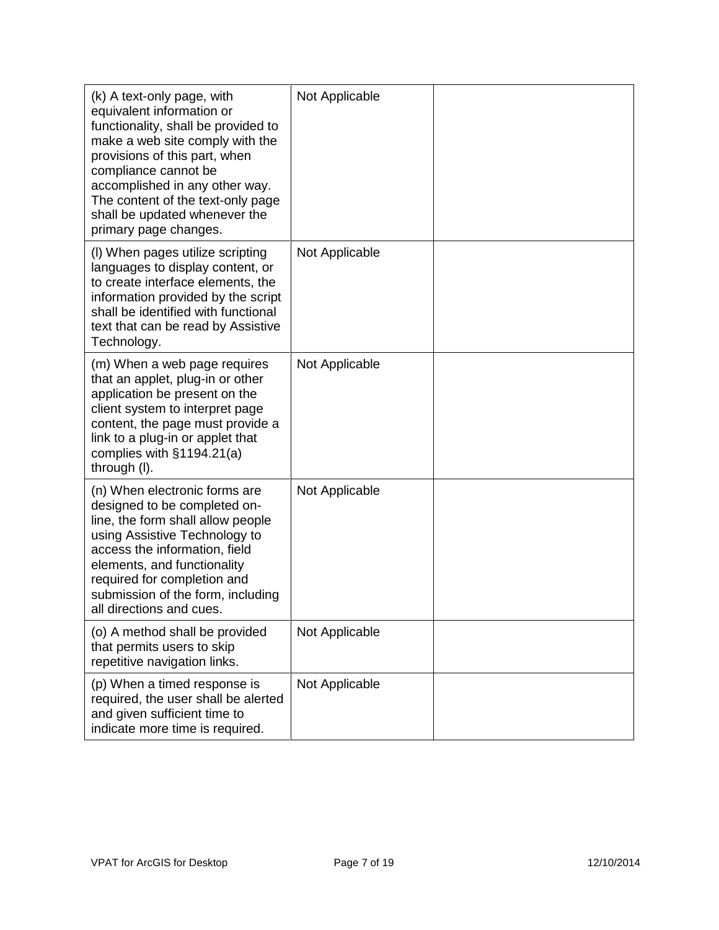| (k) A text-only page, with<br>equivalent information or<br>functionality, shall be provided to<br>make a web site comply with the<br>provisions of this part, when<br>compliance cannot be<br>accomplished in any other way.<br>The content of the text-only page<br>shall be updated whenever the<br>primary page changes. | Not Applicable |  |
|-----------------------------------------------------------------------------------------------------------------------------------------------------------------------------------------------------------------------------------------------------------------------------------------------------------------------------|----------------|--|
| (I) When pages utilize scripting<br>languages to display content, or<br>to create interface elements, the<br>information provided by the script<br>shall be identified with functional<br>text that can be read by Assistive<br>Technology.                                                                                 | Not Applicable |  |
| (m) When a web page requires<br>that an applet, plug-in or other<br>application be present on the<br>client system to interpret page<br>content, the page must provide a<br>link to a plug-in or applet that<br>complies with $§1194.21(a)$<br>through (I).                                                                 | Not Applicable |  |
| (n) When electronic forms are<br>designed to be completed on-<br>line, the form shall allow people<br>using Assistive Technology to<br>access the information, field<br>elements, and functionality<br>required for completion and<br>submission of the form, including<br>all directions and cues.                         | Not Applicable |  |
| (o) A method shall be provided<br>that permits users to skip<br>repetitive navigation links.                                                                                                                                                                                                                                | Not Applicable |  |
| (p) When a timed response is<br>required, the user shall be alerted<br>and given sufficient time to<br>indicate more time is required.                                                                                                                                                                                      | Not Applicable |  |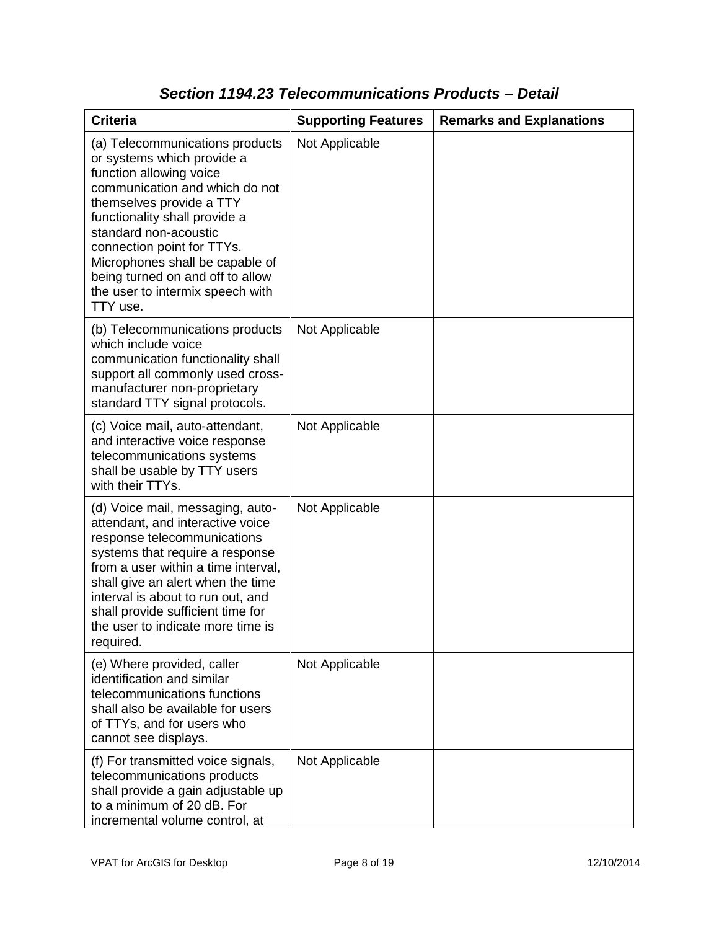| <b>Criteria</b>                                                                                                                                                                                                                                                                                                                                                       | <b>Supporting Features</b> | <b>Remarks and Explanations</b> |
|-----------------------------------------------------------------------------------------------------------------------------------------------------------------------------------------------------------------------------------------------------------------------------------------------------------------------------------------------------------------------|----------------------------|---------------------------------|
| (a) Telecommunications products<br>or systems which provide a<br>function allowing voice<br>communication and which do not<br>themselves provide a TTY<br>functionality shall provide a<br>standard non-acoustic<br>connection point for TTYs.<br>Microphones shall be capable of<br>being turned on and off to allow<br>the user to intermix speech with<br>TTY use. | Not Applicable             |                                 |
| (b) Telecommunications products<br>which include voice<br>communication functionality shall<br>support all commonly used cross-<br>manufacturer non-proprietary<br>standard TTY signal protocols.                                                                                                                                                                     | Not Applicable             |                                 |
| (c) Voice mail, auto-attendant,<br>and interactive voice response<br>telecommunications systems<br>shall be usable by TTY users<br>with their TTYs.                                                                                                                                                                                                                   | Not Applicable             |                                 |
| (d) Voice mail, messaging, auto-<br>attendant, and interactive voice<br>response telecommunications<br>systems that require a response<br>from a user within a time interval,<br>shall give an alert when the time<br>interval is about to run out, and<br>shall provide sufficient time for<br>the user to indicate more time is<br>required.                        | Not Applicable             |                                 |
| (e) Where provided, caller<br>identification and similar<br>telecommunications functions<br>shall also be available for users<br>of TTYs, and for users who<br>cannot see displays.                                                                                                                                                                                   | Not Applicable             |                                 |
| (f) For transmitted voice signals,<br>telecommunications products<br>shall provide a gain adjustable up<br>to a minimum of 20 dB. For<br>incremental volume control, at                                                                                                                                                                                               | Not Applicable             |                                 |

### *Section 1194.23 Telecommunications Products – Detail*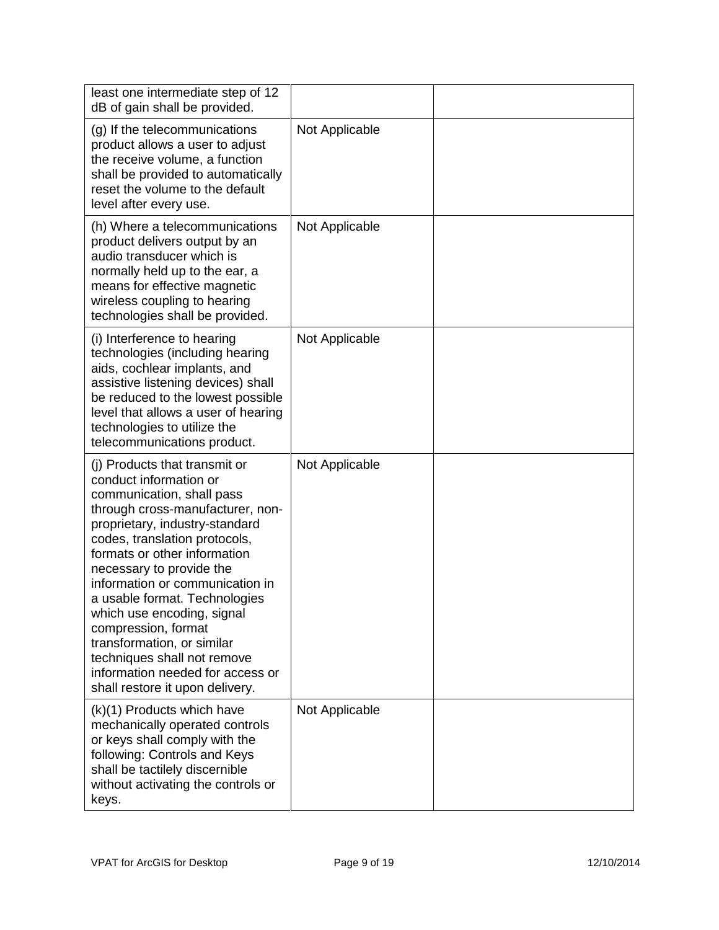| least one intermediate step of 12<br>dB of gain shall be provided.                                                                                                                                                                                                                                                                                                                                                                                                                                                   |                |  |
|----------------------------------------------------------------------------------------------------------------------------------------------------------------------------------------------------------------------------------------------------------------------------------------------------------------------------------------------------------------------------------------------------------------------------------------------------------------------------------------------------------------------|----------------|--|
| (g) If the telecommunications<br>product allows a user to adjust<br>the receive volume, a function<br>shall be provided to automatically<br>reset the volume to the default<br>level after every use.                                                                                                                                                                                                                                                                                                                | Not Applicable |  |
| (h) Where a telecommunications<br>product delivers output by an<br>audio transducer which is<br>normally held up to the ear, a<br>means for effective magnetic<br>wireless coupling to hearing<br>technologies shall be provided.                                                                                                                                                                                                                                                                                    | Not Applicable |  |
| (i) Interference to hearing<br>technologies (including hearing<br>aids, cochlear implants, and<br>assistive listening devices) shall<br>be reduced to the lowest possible<br>level that allows a user of hearing<br>technologies to utilize the<br>telecommunications product.                                                                                                                                                                                                                                       | Not Applicable |  |
| (i) Products that transmit or<br>conduct information or<br>communication, shall pass<br>through cross-manufacturer, non-<br>proprietary, industry-standard<br>codes, translation protocols,<br>formats or other information<br>necessary to provide the<br>information or communication in<br>a usable format. Technologies<br>which use encoding, signal<br>compression, format<br>transformation, or similar<br>techniques shall not remove<br>information needed for access or<br>shall restore it upon delivery. | Not Applicable |  |
| (k)(1) Products which have<br>mechanically operated controls<br>or keys shall comply with the<br>following: Controls and Keys<br>shall be tactilely discernible<br>without activating the controls or<br>keys.                                                                                                                                                                                                                                                                                                       | Not Applicable |  |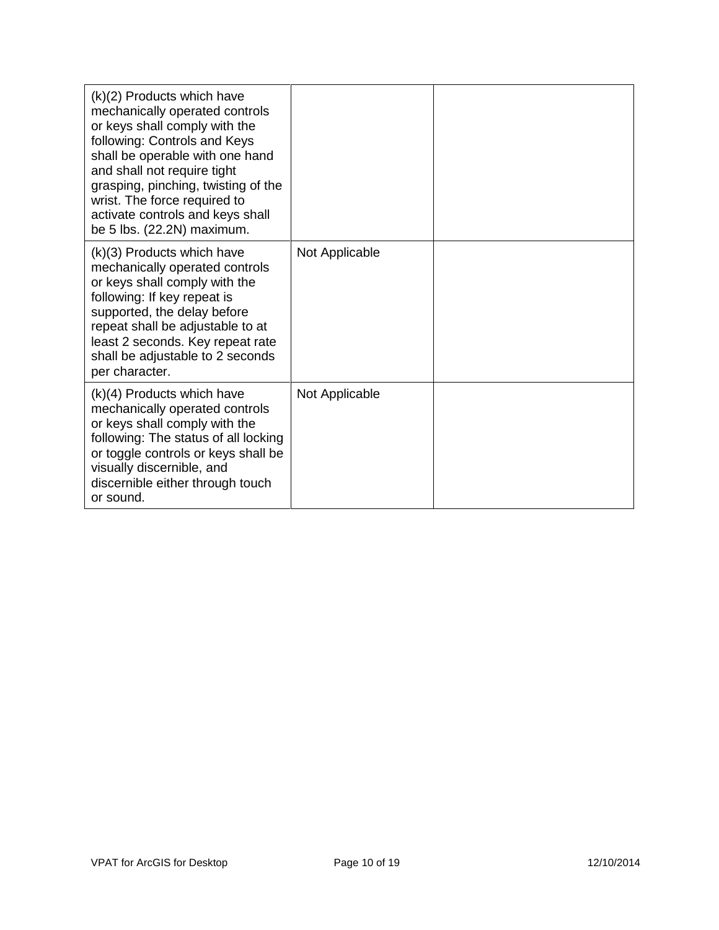| $(k)(2)$ Products which have<br>mechanically operated controls<br>or keys shall comply with the<br>following: Controls and Keys<br>shall be operable with one hand<br>and shall not require tight<br>grasping, pinching, twisting of the<br>wrist. The force required to<br>activate controls and keys shall<br>be 5 lbs. (22.2N) maximum. |                |  |
|--------------------------------------------------------------------------------------------------------------------------------------------------------------------------------------------------------------------------------------------------------------------------------------------------------------------------------------------|----------------|--|
| (k)(3) Products which have<br>mechanically operated controls<br>or keys shall comply with the<br>following: If key repeat is<br>supported, the delay before<br>repeat shall be adjustable to at<br>least 2 seconds. Key repeat rate<br>shall be adjustable to 2 seconds<br>per character.                                                  | Not Applicable |  |
| $(k)(4)$ Products which have<br>mechanically operated controls<br>or keys shall comply with the<br>following: The status of all locking<br>or toggle controls or keys shall be<br>visually discernible, and<br>discernible either through touch<br>or sound.                                                                               | Not Applicable |  |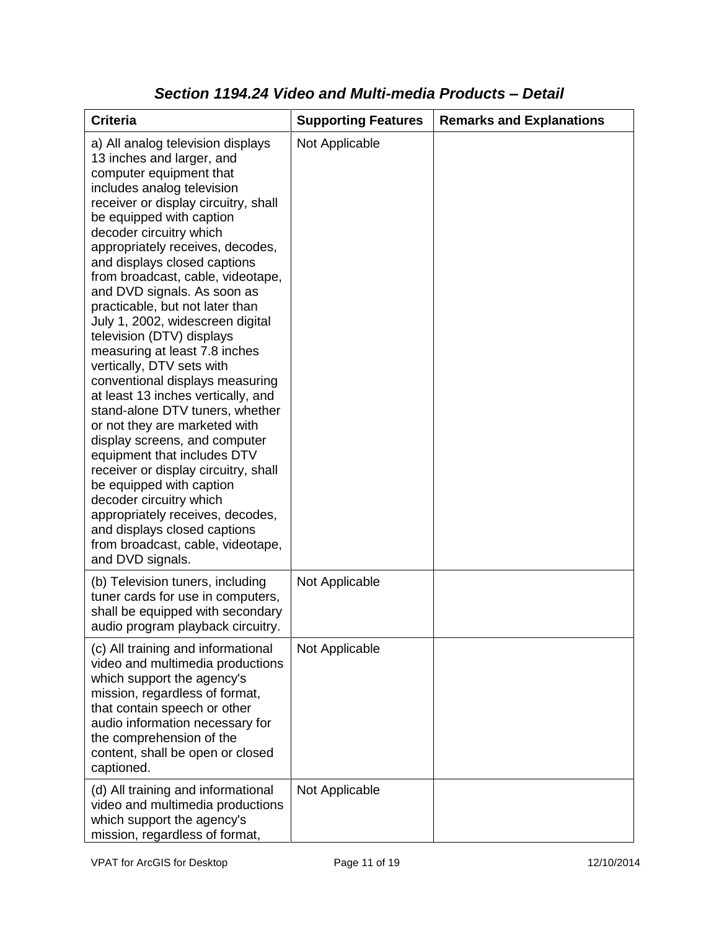| <b>Criteria</b>                                                                                                                                                                                                                                                                                                                                                                                                                                                                                                                                                                                                                                                                                                                                                                                                                                                                                                                                                           | <b>Supporting Features</b> | <b>Remarks and Explanations</b> |
|---------------------------------------------------------------------------------------------------------------------------------------------------------------------------------------------------------------------------------------------------------------------------------------------------------------------------------------------------------------------------------------------------------------------------------------------------------------------------------------------------------------------------------------------------------------------------------------------------------------------------------------------------------------------------------------------------------------------------------------------------------------------------------------------------------------------------------------------------------------------------------------------------------------------------------------------------------------------------|----------------------------|---------------------------------|
| a) All analog television displays<br>13 inches and larger, and<br>computer equipment that<br>includes analog television<br>receiver or display circuitry, shall<br>be equipped with caption<br>decoder circuitry which<br>appropriately receives, decodes,<br>and displays closed captions<br>from broadcast, cable, videotape,<br>and DVD signals. As soon as<br>practicable, but not later than<br>July 1, 2002, widescreen digital<br>television (DTV) displays<br>measuring at least 7.8 inches<br>vertically, DTV sets with<br>conventional displays measuring<br>at least 13 inches vertically, and<br>stand-alone DTV tuners, whether<br>or not they are marketed with<br>display screens, and computer<br>equipment that includes DTV<br>receiver or display circuitry, shall<br>be equipped with caption<br>decoder circuitry which<br>appropriately receives, decodes,<br>and displays closed captions<br>from broadcast, cable, videotape,<br>and DVD signals. | Not Applicable             |                                 |
| (b) Television tuners, including<br>tuner cards for use in computers,<br>shall be equipped with secondary<br>audio program playback circuitry.                                                                                                                                                                                                                                                                                                                                                                                                                                                                                                                                                                                                                                                                                                                                                                                                                            | Not Applicable             |                                 |
| (c) All training and informational<br>video and multimedia productions<br>which support the agency's<br>mission, regardless of format,<br>that contain speech or other<br>audio information necessary for<br>the comprehension of the<br>content, shall be open or closed<br>captioned.                                                                                                                                                                                                                                                                                                                                                                                                                                                                                                                                                                                                                                                                                   | Not Applicable             |                                 |
| (d) All training and informational<br>video and multimedia productions<br>which support the agency's<br>mission, regardless of format,                                                                                                                                                                                                                                                                                                                                                                                                                                                                                                                                                                                                                                                                                                                                                                                                                                    | Not Applicable             |                                 |

### *Section 1194.24 Video and Multi-media Products – Detail*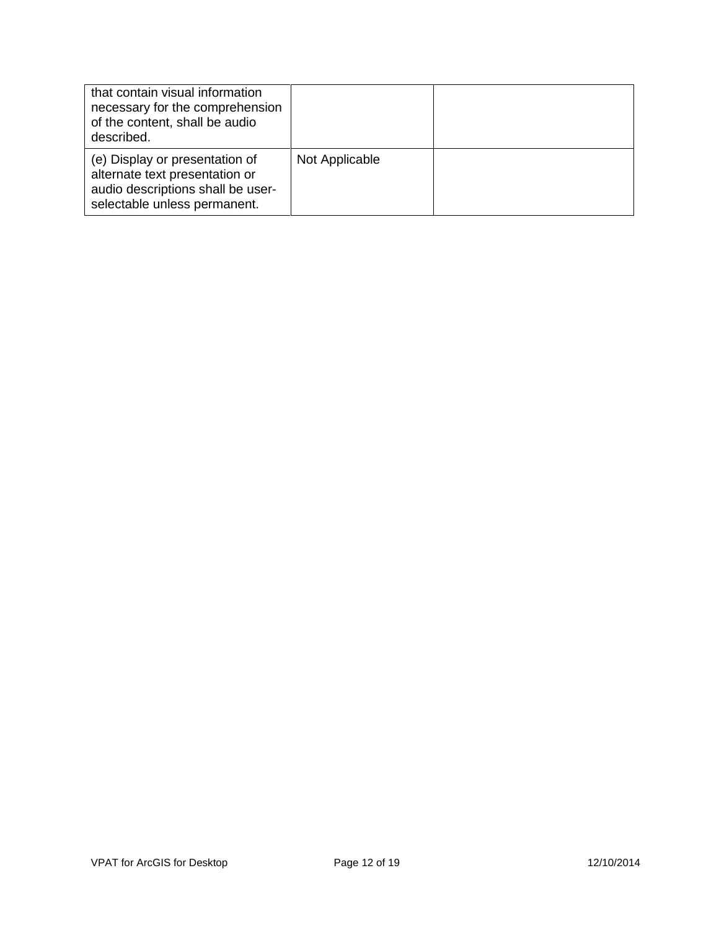| that contain visual information<br>necessary for the comprehension<br>of the content, shall be audio<br>described.                    |                |  |
|---------------------------------------------------------------------------------------------------------------------------------------|----------------|--|
| (e) Display or presentation of<br>alternate text presentation or<br>audio descriptions shall be user-<br>selectable unless permanent. | Not Applicable |  |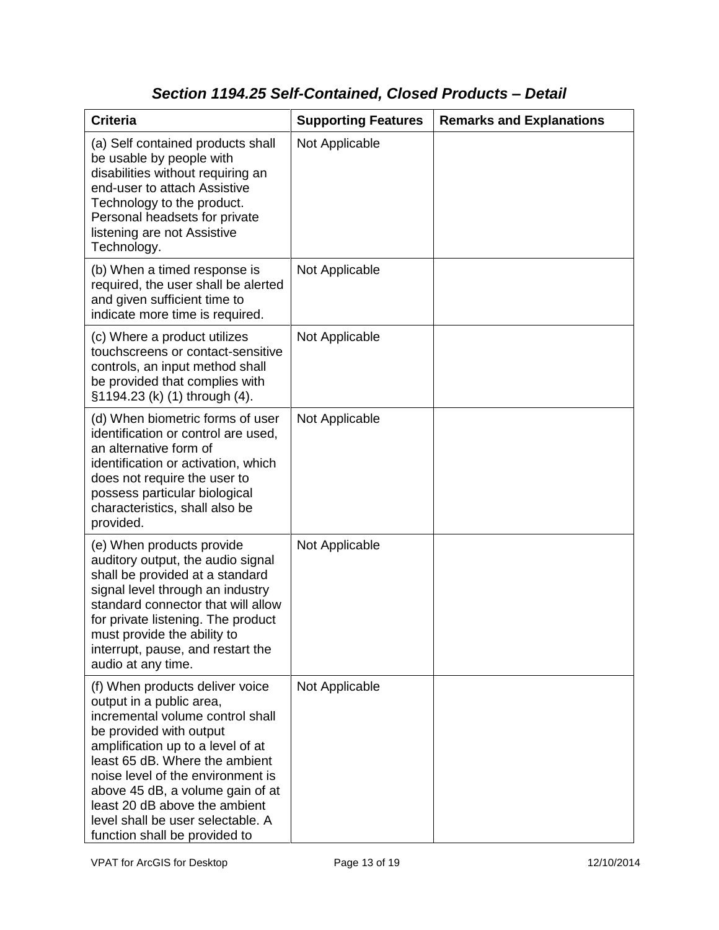## *Section 1194.25 Self-Contained, Closed Products – Detail*

| <b>Criteria</b>                                                                                                                                                                                                                                                                                                                                                                   | <b>Supporting Features</b> | <b>Remarks and Explanations</b> |
|-----------------------------------------------------------------------------------------------------------------------------------------------------------------------------------------------------------------------------------------------------------------------------------------------------------------------------------------------------------------------------------|----------------------------|---------------------------------|
| (a) Self contained products shall<br>be usable by people with<br>disabilities without requiring an<br>end-user to attach Assistive<br>Technology to the product.<br>Personal headsets for private<br>listening are not Assistive<br>Technology.                                                                                                                                   | Not Applicable             |                                 |
| (b) When a timed response is<br>required, the user shall be alerted<br>and given sufficient time to<br>indicate more time is required.                                                                                                                                                                                                                                            | Not Applicable             |                                 |
| (c) Where a product utilizes<br>touchscreens or contact-sensitive<br>controls, an input method shall<br>be provided that complies with<br>§1194.23 (k) (1) through (4).                                                                                                                                                                                                           | Not Applicable             |                                 |
| (d) When biometric forms of user<br>identification or control are used,<br>an alternative form of<br>identification or activation, which<br>does not require the user to<br>possess particular biological<br>characteristics, shall also be<br>provided.                                                                                                                          | Not Applicable             |                                 |
| (e) When products provide<br>auditory output, the audio signal<br>shall be provided at a standard<br>signal level through an industry<br>standard connector that will allow<br>for private listening. The product<br>must provide the ability to<br>interrupt, pause, and restart the<br>audio at any time.                                                                       | Not Applicable             |                                 |
| (f) When products deliver voice<br>output in a public area,<br>incremental volume control shall<br>be provided with output<br>amplification up to a level of at<br>least 65 dB. Where the ambient<br>noise level of the environment is<br>above 45 dB, a volume gain of at<br>least 20 dB above the ambient<br>level shall be user selectable. A<br>function shall be provided to | Not Applicable             |                                 |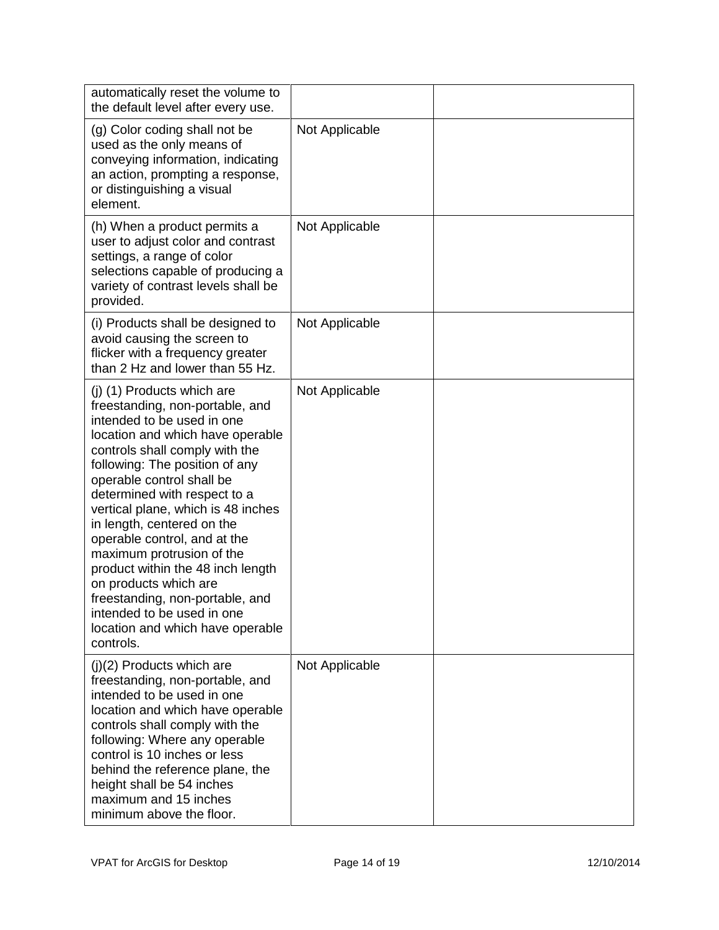| automatically reset the volume to<br>the default level after every use.                                                                                                                                                                                                                                                                                                                                                                                                                                                                                                           |                |  |
|-----------------------------------------------------------------------------------------------------------------------------------------------------------------------------------------------------------------------------------------------------------------------------------------------------------------------------------------------------------------------------------------------------------------------------------------------------------------------------------------------------------------------------------------------------------------------------------|----------------|--|
| (g) Color coding shall not be<br>used as the only means of<br>conveying information, indicating<br>an action, prompting a response,<br>or distinguishing a visual<br>element.                                                                                                                                                                                                                                                                                                                                                                                                     | Not Applicable |  |
| (h) When a product permits a<br>user to adjust color and contrast<br>settings, a range of color<br>selections capable of producing a<br>variety of contrast levels shall be<br>provided.                                                                                                                                                                                                                                                                                                                                                                                          | Not Applicable |  |
| (i) Products shall be designed to<br>avoid causing the screen to<br>flicker with a frequency greater<br>than 2 Hz and lower than 55 Hz.                                                                                                                                                                                                                                                                                                                                                                                                                                           | Not Applicable |  |
| (j) (1) Products which are<br>freestanding, non-portable, and<br>intended to be used in one<br>location and which have operable<br>controls shall comply with the<br>following: The position of any<br>operable control shall be<br>determined with respect to a<br>vertical plane, which is 48 inches<br>in length, centered on the<br>operable control, and at the<br>maximum protrusion of the<br>product within the 48 inch length<br>on products which are<br>freestanding, non-portable, and<br>intended to be used in one<br>location and which have operable<br>controls. | Not Applicable |  |
| $(j)(2)$ Products which are<br>freestanding, non-portable, and<br>intended to be used in one<br>location and which have operable<br>controls shall comply with the<br>following: Where any operable<br>control is 10 inches or less<br>behind the reference plane, the<br>height shall be 54 inches<br>maximum and 15 inches<br>minimum above the floor.                                                                                                                                                                                                                          | Not Applicable |  |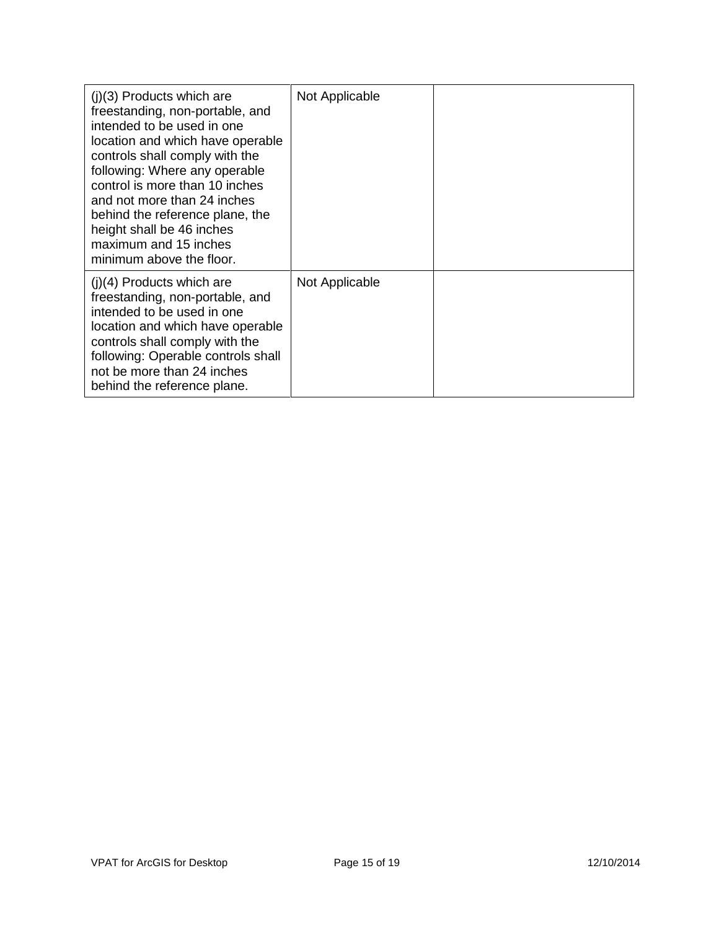| $(i)(3)$ Products which are<br>freestanding, non-portable, and<br>intended to be used in one<br>location and which have operable<br>controls shall comply with the<br>following: Where any operable<br>control is more than 10 inches<br>and not more than 24 inches<br>behind the reference plane, the<br>height shall be 46 inches<br>maximum and 15 inches<br>minimum above the floor. | Not Applicable |  |
|-------------------------------------------------------------------------------------------------------------------------------------------------------------------------------------------------------------------------------------------------------------------------------------------------------------------------------------------------------------------------------------------|----------------|--|
| $(i)(4)$ Products which are<br>freestanding, non-portable, and<br>intended to be used in one<br>location and which have operable<br>controls shall comply with the<br>following: Operable controls shall<br>not be more than 24 inches<br>behind the reference plane.                                                                                                                     | Not Applicable |  |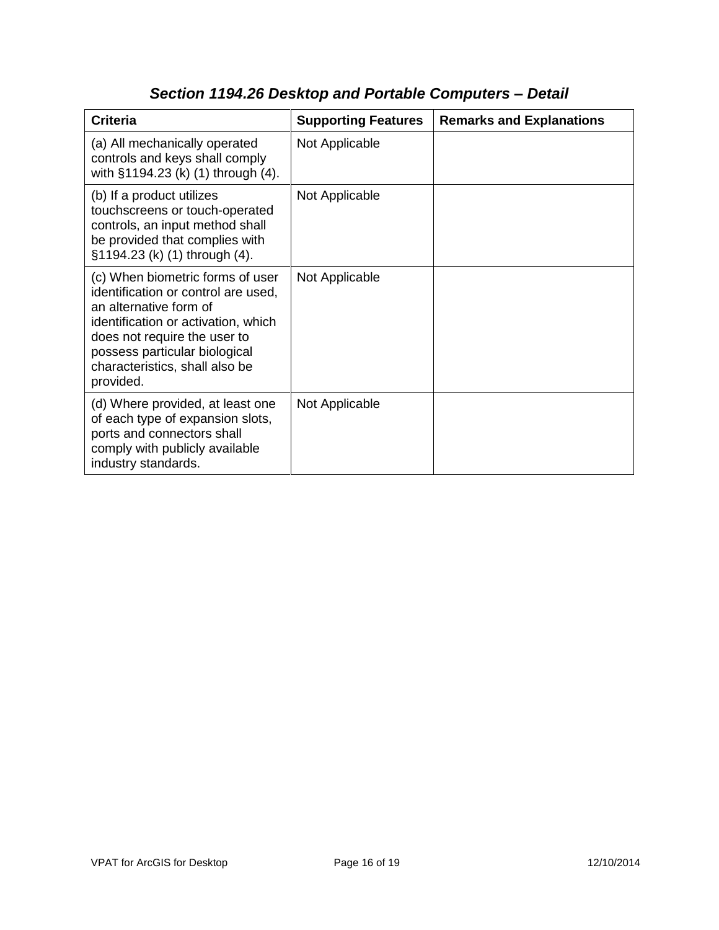| <b>Criteria</b>                                                                                                                                                                                                                                          | <b>Supporting Features</b> | <b>Remarks and Explanations</b> |
|----------------------------------------------------------------------------------------------------------------------------------------------------------------------------------------------------------------------------------------------------------|----------------------------|---------------------------------|
| (a) All mechanically operated<br>controls and keys shall comply<br>with §1194.23 (k) (1) through (4).                                                                                                                                                    | Not Applicable             |                                 |
| (b) If a product utilizes<br>touchscreens or touch-operated<br>controls, an input method shall<br>be provided that complies with<br>§1194.23 (k) (1) through (4).                                                                                        | Not Applicable             |                                 |
| (c) When biometric forms of user<br>identification or control are used,<br>an alternative form of<br>identification or activation, which<br>does not require the user to<br>possess particular biological<br>characteristics, shall also be<br>provided. | Not Applicable             |                                 |
| (d) Where provided, at least one<br>of each type of expansion slots,<br>ports and connectors shall<br>comply with publicly available<br>industry standards.                                                                                              | Not Applicable             |                                 |

## *Section 1194.26 Desktop and Portable Computers – Detail*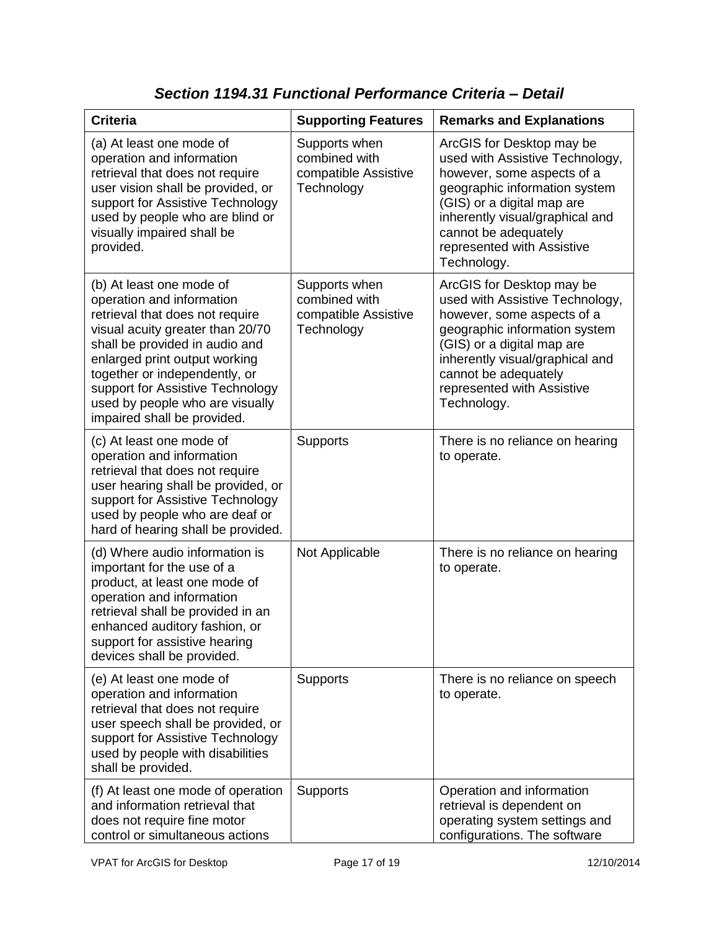| <b>Criteria</b>                                                                                                                                                                                                                                                                                                                        | <b>Supporting Features</b>                                           | <b>Remarks and Explanations</b>                                                                                                                                                                                                                                   |
|----------------------------------------------------------------------------------------------------------------------------------------------------------------------------------------------------------------------------------------------------------------------------------------------------------------------------------------|----------------------------------------------------------------------|-------------------------------------------------------------------------------------------------------------------------------------------------------------------------------------------------------------------------------------------------------------------|
| (a) At least one mode of<br>operation and information<br>retrieval that does not require<br>user vision shall be provided, or<br>support for Assistive Technology<br>used by people who are blind or<br>visually impaired shall be<br>provided.                                                                                        | Supports when<br>combined with<br>compatible Assistive<br>Technology | ArcGIS for Desktop may be<br>used with Assistive Technology,<br>however, some aspects of a<br>geographic information system<br>(GIS) or a digital map are<br>inherently visual/graphical and<br>cannot be adequately<br>represented with Assistive<br>Technology. |
| (b) At least one mode of<br>operation and information<br>retrieval that does not require<br>visual acuity greater than 20/70<br>shall be provided in audio and<br>enlarged print output working<br>together or independently, or<br>support for Assistive Technology<br>used by people who are visually<br>impaired shall be provided. | Supports when<br>combined with<br>compatible Assistive<br>Technology | ArcGIS for Desktop may be<br>used with Assistive Technology,<br>however, some aspects of a<br>geographic information system<br>(GIS) or a digital map are<br>inherently visual/graphical and<br>cannot be adequately<br>represented with Assistive<br>Technology. |
| (c) At least one mode of<br>operation and information<br>retrieval that does not require<br>user hearing shall be provided, or<br>support for Assistive Technology<br>used by people who are deaf or<br>hard of hearing shall be provided.                                                                                             | <b>Supports</b>                                                      | There is no reliance on hearing<br>to operate.                                                                                                                                                                                                                    |
| (d) Where audio information is<br>important for the use of a<br>product, at least one mode of<br>operation and information<br>retrieval shall be provided in an<br>enhanced auditory fashion, or<br>support for assistive hearing<br>devices shall be provided.                                                                        | Not Applicable                                                       | There is no reliance on hearing<br>to operate.                                                                                                                                                                                                                    |
| (e) At least one mode of<br>operation and information<br>retrieval that does not require<br>user speech shall be provided, or<br>support for Assistive Technology<br>used by people with disabilities<br>shall be provided.                                                                                                            | Supports                                                             | There is no reliance on speech<br>to operate.                                                                                                                                                                                                                     |
| (f) At least one mode of operation<br>and information retrieval that<br>does not require fine motor<br>control or simultaneous actions                                                                                                                                                                                                 | <b>Supports</b>                                                      | Operation and information<br>retrieval is dependent on<br>operating system settings and<br>configurations. The software                                                                                                                                           |

*Section 1194.31 Functional Performance Criteria – Detail*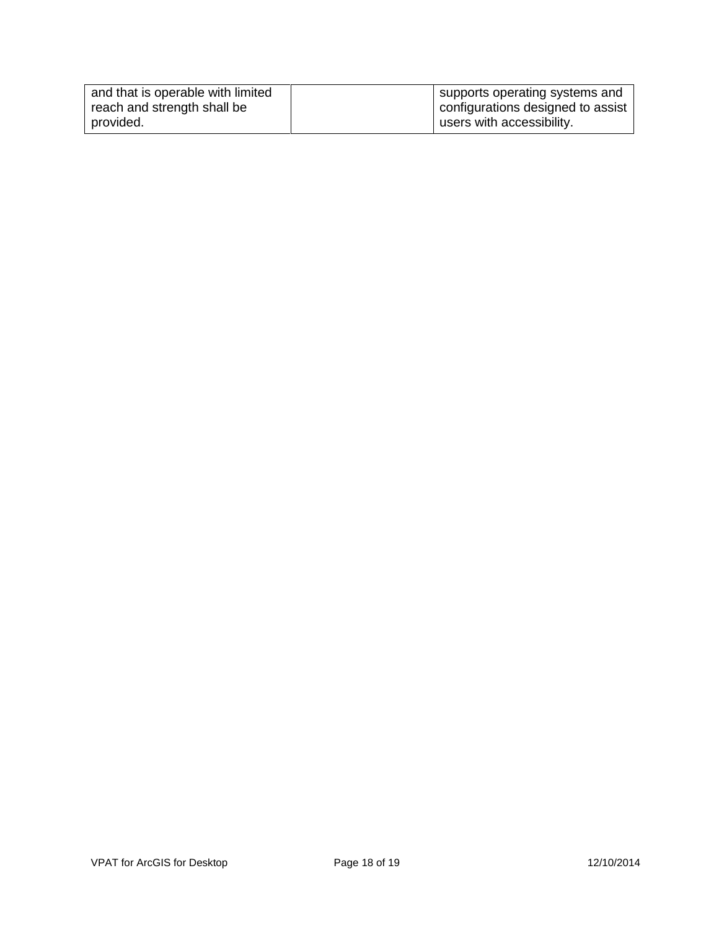| and that is operable with limited | supports operating systems and    |
|-----------------------------------|-----------------------------------|
| reach and strength shall be       | configurations designed to assist |
| provided.                         | users with accessibility.         |